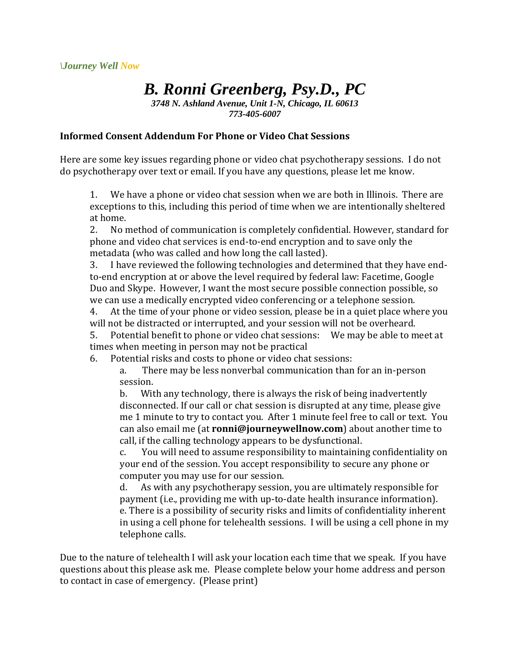## *B. Ronni Greenberg, Psy.D., PC*

*3748 N. Ashland Avenue, Unit 1-N, Chicago, IL 60613 773-405-6007*

## **Informed Consent Addendum For Phone or Video Chat Sessions**

Here are some key issues regarding phone or video chat psychotherapy sessions. I do not do psychotherapy over text or email. If you have any questions, please let me know.

1. We have a phone or video chat session when we are both in Illinois. There are exceptions to this, including this period of time when we are intentionally sheltered at home.

2. No method of communication is completely confidential. However, standard for phone and video chat services is end-to-end encryption and to save only the metadata (who was called and how long the call lasted).

3. I have reviewed the following technologies and determined that they have endto-end encryption at or above the level required by federal law: Facetime, Google Duo and Skype. However, I want the most secure possible connection possible, so we can use a medically encrypted video conferencing or a telephone session.

4. At the time of your phone or video session, please be in a quiet place where you will not be distracted or interrupted, and your session will not be overheard.

5. Potential benefit to phone or video chat sessions: We may be able to meet at times when meeting in person may not be practical

6. Potential risks and costs to phone or video chat sessions:

a. There may be less nonverbal communication than for an in-person session.

b. With any technology, there is always the risk of being inadvertently disconnected. If our call or chat session is disrupted at any time, please give me 1 minute to try to contact you. After 1 minute feel free to call or text. You can also email me (at **ronni@journeywellnow.com**) about another time to call, if the calling technology appears to be dysfunctional.

c. You will need to assume responsibility to maintaining confidentiality on your end of the session. You accept responsibility to secure any phone or computer you may use for our session.

d. As with any psychotherapy session, you are ultimately responsible for payment (i.e., providing me with up-to-date health insurance information). e. There is a possibility of security risks and limits of confidentiality inherent in using a cell phone for telehealth sessions. I will be using a cell phone in my telephone calls.

Due to the nature of telehealth I will ask your location each time that we speak. If you have questions about this please ask me. Please complete below your home address and person to contact in case of emergency. (Please print)